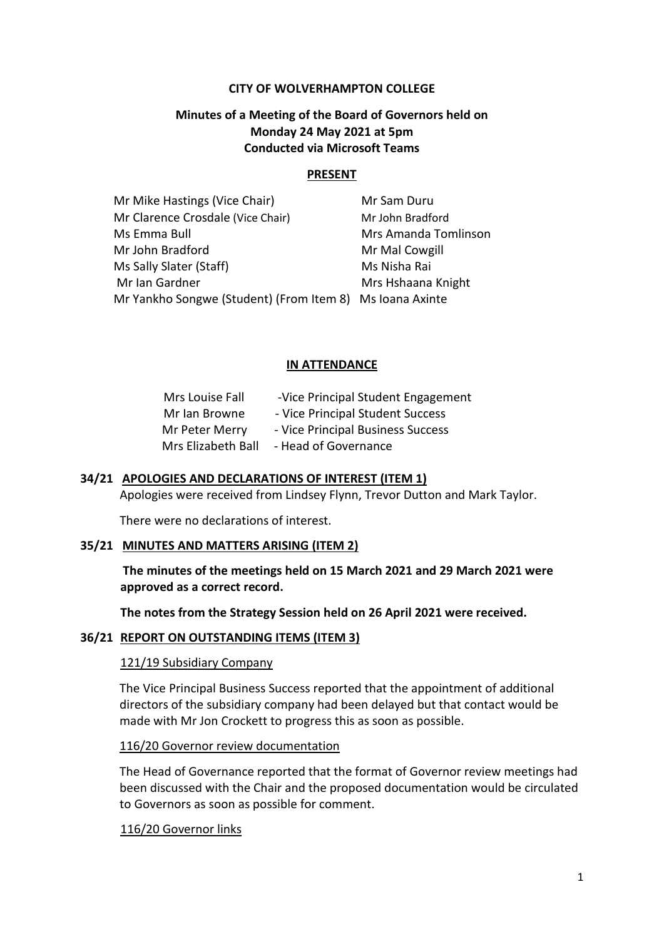### **CITY OF WOLVERHAMPTON COLLEGE**

# **Minutes of a Meeting of the Board of Governors held on Monday 24 May 2021 at 5pm Conducted via Microsoft Teams**

### **PRESENT**

| Mr Mike Hastings (Vice Chair)                            | Mr Sam Duru          |
|----------------------------------------------------------|----------------------|
| Mr Clarence Crosdale (Vice Chair)                        | Mr John Bradford     |
| Ms Emma Bull                                             | Mrs Amanda Tomlinson |
| Mr John Bradford                                         | Mr Mal Cowgill       |
| Ms Sally Slater (Staff)                                  | Ms Nisha Rai         |
| Mr Ian Gardner                                           | Mrs Hshaana Knight   |
| Mr Yankho Songwe (Student) (From Item 8) Ms Ioana Axinte |                      |
|                                                          |                      |

### **IN ATTENDANCE**

| Mrs Louise Fall    | -Vice Principal Student Engagement |
|--------------------|------------------------------------|
| Mr Ian Browne      | - Vice Principal Student Success   |
| Mr Peter Merry     | - Vice Principal Business Success  |
| Mrs Elizabeth Ball | - Head of Governance               |

### **34/21 APOLOGIES AND DECLARATIONS OF INTEREST (ITEM 1)**

Apologies were received from Lindsey Flynn, Trevor Dutton and Mark Taylor.

There were no declarations of interest.

### **35/21 MINUTES AND MATTERS ARISING (ITEM 2)**

**The minutes of the meetings held on 15 March 2021 and 29 March 2021 were approved as a correct record.**

**The notes from the Strategy Session held on 26 April 2021 were received.**

#### **36/21 REPORT ON OUTSTANDING ITEMS (ITEM 3)**

#### 121/19 Subsidiary Company

The Vice Principal Business Success reported that the appointment of additional directors of the subsidiary company had been delayed but that contact would be made with Mr Jon Crockett to progress this as soon as possible.

### 116/20 Governor review documentation

The Head of Governance reported that the format of Governor review meetings had been discussed with the Chair and the proposed documentation would be circulated to Governors as soon as possible for comment.

# 116/20 Governor links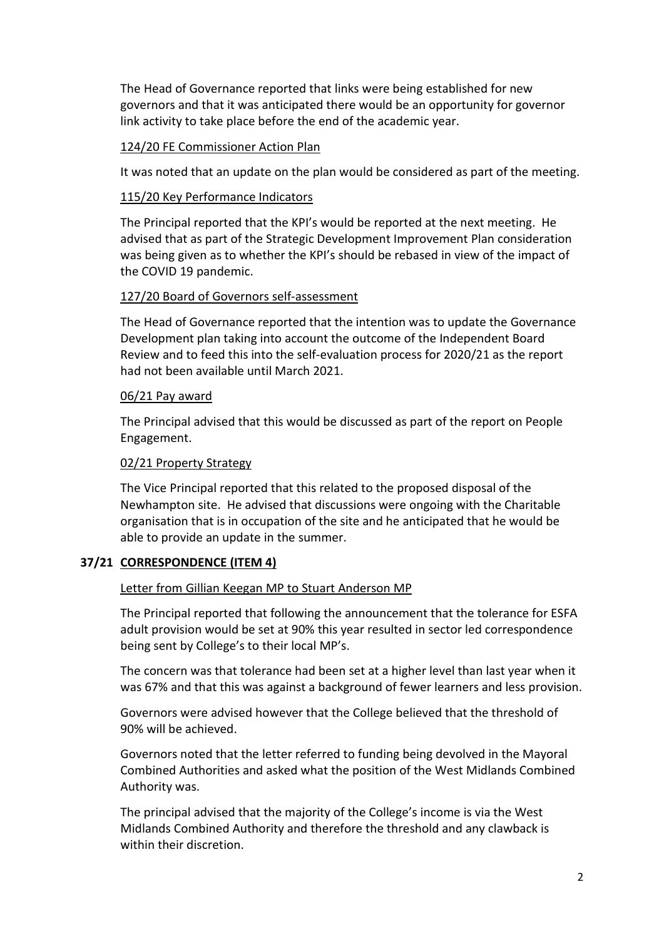The Head of Governance reported that links were being established for new governors and that it was anticipated there would be an opportunity for governor link activity to take place before the end of the academic year.

# 124/20 FE Commissioner Action Plan

It was noted that an update on the plan would be considered as part of the meeting.

# 115/20 Key Performance Indicators

The Principal reported that the KPI's would be reported at the next meeting. He advised that as part of the Strategic Development Improvement Plan consideration was being given as to whether the KPI's should be rebased in view of the impact of the COVID 19 pandemic.

# 127/20 Board of Governors self-assessment

The Head of Governance reported that the intention was to update the Governance Development plan taking into account the outcome of the Independent Board Review and to feed this into the self-evaluation process for 2020/21 as the report had not been available until March 2021.

# 06/21 Pay award

The Principal advised that this would be discussed as part of the report on People Engagement.

# 02/21 Property Strategy

The Vice Principal reported that this related to the proposed disposal of the Newhampton site. He advised that discussions were ongoing with the Charitable organisation that is in occupation of the site and he anticipated that he would be able to provide an update in the summer.

# **37/21 CORRESPONDENCE (ITEM 4)**

# Letter from Gillian Keegan MP to Stuart Anderson MP

The Principal reported that following the announcement that the tolerance for ESFA adult provision would be set at 90% this year resulted in sector led correspondence being sent by College's to their local MP's.

The concern was that tolerance had been set at a higher level than last year when it was 67% and that this was against a background of fewer learners and less provision.

Governors were advised however that the College believed that the threshold of 90% will be achieved.

Governors noted that the letter referred to funding being devolved in the Mayoral Combined Authorities and asked what the position of the West Midlands Combined Authority was.

The principal advised that the majority of the College's income is via the West Midlands Combined Authority and therefore the threshold and any clawback is within their discretion.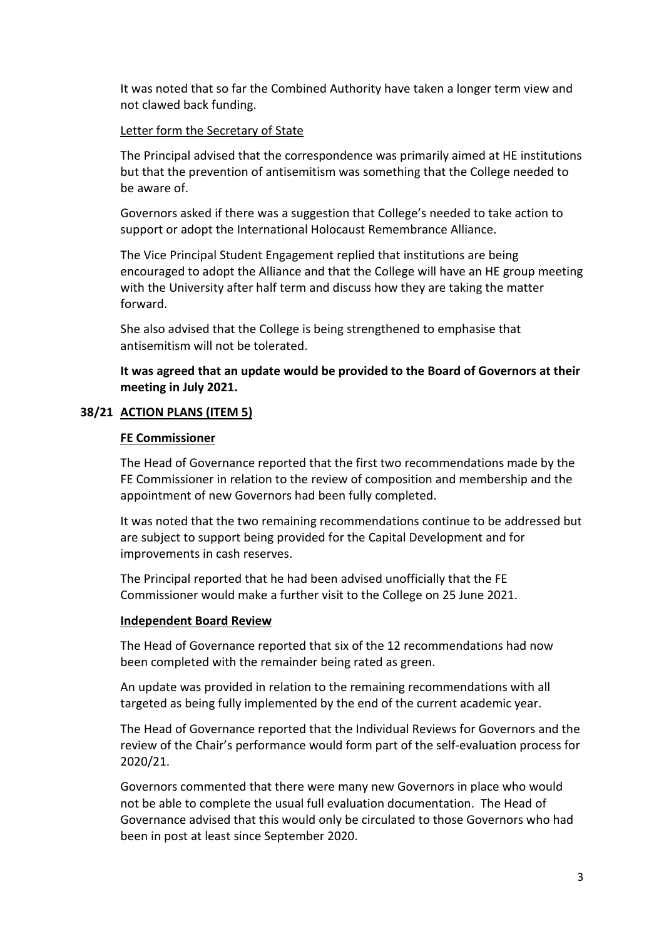It was noted that so far the Combined Authority have taken a longer term view and not clawed back funding.

# Letter form the Secretary of State

The Principal advised that the correspondence was primarily aimed at HE institutions but that the prevention of antisemitism was something that the College needed to be aware of.

Governors asked if there was a suggestion that College's needed to take action to support or adopt the International Holocaust Remembrance Alliance.

The Vice Principal Student Engagement replied that institutions are being encouraged to adopt the Alliance and that the College will have an HE group meeting with the University after half term and discuss how they are taking the matter forward.

She also advised that the College is being strengthened to emphasise that antisemitism will not be tolerated.

**It was agreed that an update would be provided to the Board of Governors at their meeting in July 2021.**

# **38/21 ACTION PLANS (ITEM 5)**

# **FE Commissioner**

The Head of Governance reported that the first two recommendations made by the FE Commissioner in relation to the review of composition and membership and the appointment of new Governors had been fully completed.

It was noted that the two remaining recommendations continue to be addressed but are subject to support being provided for the Capital Development and for improvements in cash reserves.

The Principal reported that he had been advised unofficially that the FE Commissioner would make a further visit to the College on 25 June 2021.

# **Independent Board Review**

The Head of Governance reported that six of the 12 recommendations had now been completed with the remainder being rated as green.

An update was provided in relation to the remaining recommendations with all targeted as being fully implemented by the end of the current academic year.

The Head of Governance reported that the Individual Reviews for Governors and the review of the Chair's performance would form part of the self-evaluation process for 2020/21.

Governors commented that there were many new Governors in place who would not be able to complete the usual full evaluation documentation. The Head of Governance advised that this would only be circulated to those Governors who had been in post at least since September 2020.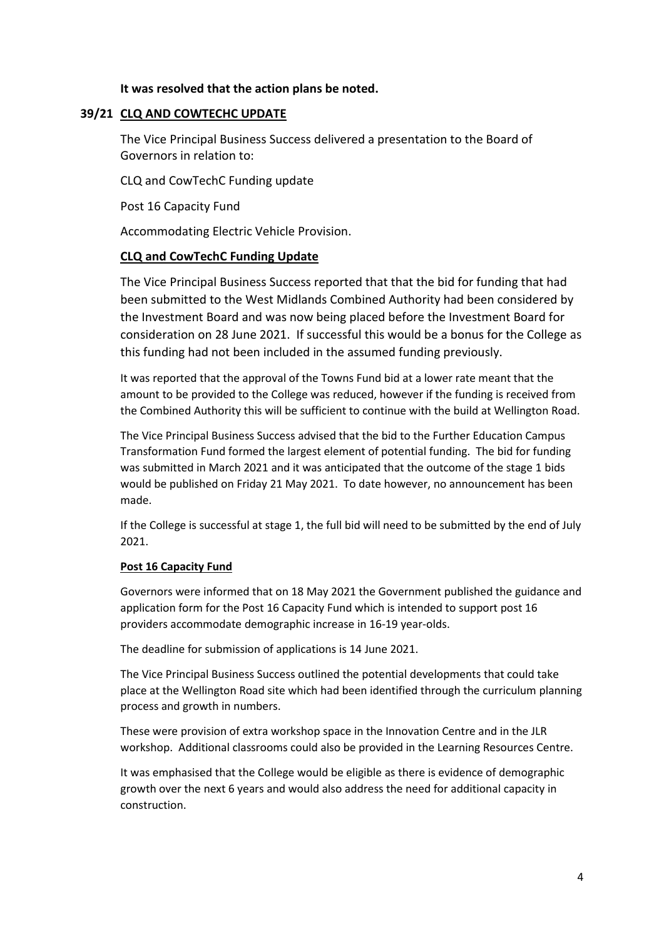### **It was resolved that the action plans be noted.**

### **39/21 CLQ AND COWTECHC UPDATE**

The Vice Principal Business Success delivered a presentation to the Board of Governors in relation to:

CLQ and CowTechC Funding update

Post 16 Capacity Fund

Accommodating Electric Vehicle Provision.

### **CLQ and CowTechC Funding Update**

The Vice Principal Business Success reported that that the bid for funding that had been submitted to the West Midlands Combined Authority had been considered by the Investment Board and was now being placed before the Investment Board for consideration on 28 June 2021. If successful this would be a bonus for the College as this funding had not been included in the assumed funding previously.

It was reported that the approval of the Towns Fund bid at a lower rate meant that the amount to be provided to the College was reduced, however if the funding is received from the Combined Authority this will be sufficient to continue with the build at Wellington Road.

The Vice Principal Business Success advised that the bid to the Further Education Campus Transformation Fund formed the largest element of potential funding. The bid for funding was submitted in March 2021 and it was anticipated that the outcome of the stage 1 bids would be published on Friday 21 May 2021. To date however, no announcement has been made.

If the College is successful at stage 1, the full bid will need to be submitted by the end of July 2021.

### **Post 16 Capacity Fund**

Governors were informed that on 18 May 2021 the Government published the guidance and application form for the Post 16 Capacity Fund which is intended to support post 16 providers accommodate demographic increase in 16-19 year-olds.

The deadline for submission of applications is 14 June 2021.

The Vice Principal Business Success outlined the potential developments that could take place at the Wellington Road site which had been identified through the curriculum planning process and growth in numbers.

These were provision of extra workshop space in the Innovation Centre and in the JLR workshop. Additional classrooms could also be provided in the Learning Resources Centre.

It was emphasised that the College would be eligible as there is evidence of demographic growth over the next 6 years and would also address the need for additional capacity in construction.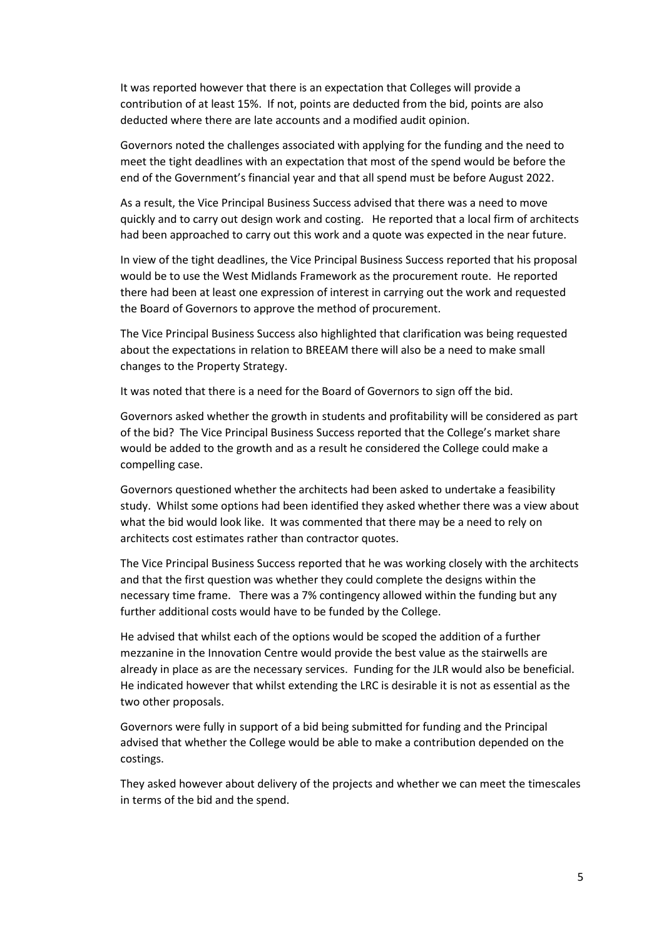It was reported however that there is an expectation that Colleges will provide a contribution of at least 15%. If not, points are deducted from the bid, points are also deducted where there are late accounts and a modified audit opinion.

Governors noted the challenges associated with applying for the funding and the need to meet the tight deadlines with an expectation that most of the spend would be before the end of the Government's financial year and that all spend must be before August 2022.

As a result, the Vice Principal Business Success advised that there was a need to move quickly and to carry out design work and costing. He reported that a local firm of architects had been approached to carry out this work and a quote was expected in the near future.

In view of the tight deadlines, the Vice Principal Business Success reported that his proposal would be to use the West Midlands Framework as the procurement route. He reported there had been at least one expression of interest in carrying out the work and requested the Board of Governors to approve the method of procurement.

The Vice Principal Business Success also highlighted that clarification was being requested about the expectations in relation to BREEAM there will also be a need to make small changes to the Property Strategy.

It was noted that there is a need for the Board of Governors to sign off the bid.

Governors asked whether the growth in students and profitability will be considered as part of the bid? The Vice Principal Business Success reported that the College's market share would be added to the growth and as a result he considered the College could make a compelling case.

Governors questioned whether the architects had been asked to undertake a feasibility study. Whilst some options had been identified they asked whether there was a view about what the bid would look like. It was commented that there may be a need to rely on architects cost estimates rather than contractor quotes.

The Vice Principal Business Success reported that he was working closely with the architects and that the first question was whether they could complete the designs within the necessary time frame. There was a 7% contingency allowed within the funding but any further additional costs would have to be funded by the College.

He advised that whilst each of the options would be scoped the addition of a further mezzanine in the Innovation Centre would provide the best value as the stairwells are already in place as are the necessary services. Funding for the JLR would also be beneficial. He indicated however that whilst extending the LRC is desirable it is not as essential as the two other proposals.

Governors were fully in support of a bid being submitted for funding and the Principal advised that whether the College would be able to make a contribution depended on the costings.

They asked however about delivery of the projects and whether we can meet the timescales in terms of the bid and the spend.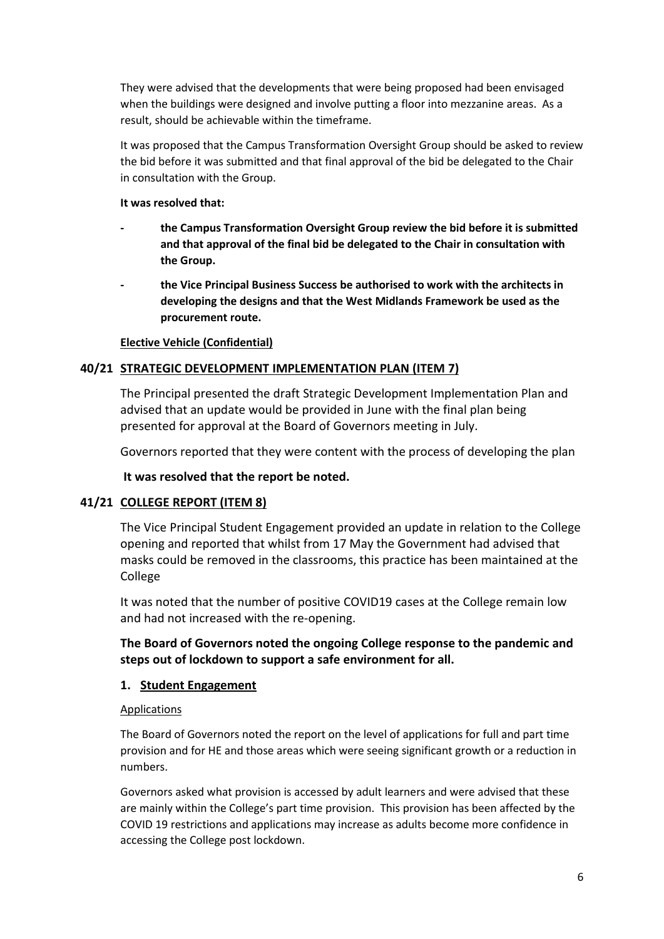They were advised that the developments that were being proposed had been envisaged when the buildings were designed and involve putting a floor into mezzanine areas. As a result, should be achievable within the timeframe.

It was proposed that the Campus Transformation Oversight Group should be asked to review the bid before it was submitted and that final approval of the bid be delegated to the Chair in consultation with the Group.

### **It was resolved that:**

- **- the Campus Transformation Oversight Group review the bid before it is submitted and that approval of the final bid be delegated to the Chair in consultation with the Group.**
- **- the Vice Principal Business Success be authorised to work with the architects in developing the designs and that the West Midlands Framework be used as the procurement route.**

# **Elective Vehicle (Confidential)**

# **40/21 STRATEGIC DEVELOPMENT IMPLEMENTATION PLAN (ITEM 7)**

The Principal presented the draft Strategic Development Implementation Plan and advised that an update would be provided in June with the final plan being presented for approval at the Board of Governors meeting in July.

Governors reported that they were content with the process of developing the plan

**It was resolved that the report be noted.**

# **41/21 COLLEGE REPORT (ITEM 8)**

The Vice Principal Student Engagement provided an update in relation to the College opening and reported that whilst from 17 May the Government had advised that masks could be removed in the classrooms, this practice has been maintained at the College

It was noted that the number of positive COVID19 cases at the College remain low and had not increased with the re-opening.

**The Board of Governors noted the ongoing College response to the pandemic and steps out of lockdown to support a safe environment for all.**

# **1. Student Engagement**

# Applications

The Board of Governors noted the report on the level of applications for full and part time provision and for HE and those areas which were seeing significant growth or a reduction in numbers.

Governors asked what provision is accessed by adult learners and were advised that these are mainly within the College's part time provision. This provision has been affected by the COVID 19 restrictions and applications may increase as adults become more confidence in accessing the College post lockdown.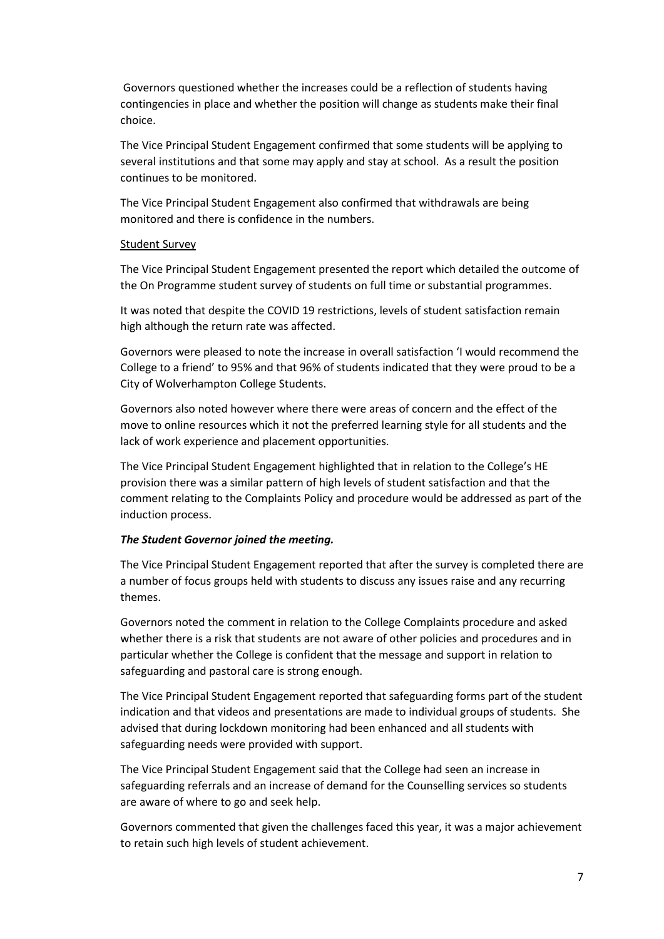Governors questioned whether the increases could be a reflection of students having contingencies in place and whether the position will change as students make their final choice.

The Vice Principal Student Engagement confirmed that some students will be applying to several institutions and that some may apply and stay at school. As a result the position continues to be monitored.

The Vice Principal Student Engagement also confirmed that withdrawals are being monitored and there is confidence in the numbers.

### Student Survey

The Vice Principal Student Engagement presented the report which detailed the outcome of the On Programme student survey of students on full time or substantial programmes.

It was noted that despite the COVID 19 restrictions, levels of student satisfaction remain high although the return rate was affected.

Governors were pleased to note the increase in overall satisfaction 'I would recommend the College to a friend' to 95% and that 96% of students indicated that they were proud to be a City of Wolverhampton College Students.

Governors also noted however where there were areas of concern and the effect of the move to online resources which it not the preferred learning style for all students and the lack of work experience and placement opportunities.

The Vice Principal Student Engagement highlighted that in relation to the College's HE provision there was a similar pattern of high levels of student satisfaction and that the comment relating to the Complaints Policy and procedure would be addressed as part of the induction process.

### *The Student Governor joined the meeting.*

The Vice Principal Student Engagement reported that after the survey is completed there are a number of focus groups held with students to discuss any issues raise and any recurring themes.

Governors noted the comment in relation to the College Complaints procedure and asked whether there is a risk that students are not aware of other policies and procedures and in particular whether the College is confident that the message and support in relation to safeguarding and pastoral care is strong enough.

The Vice Principal Student Engagement reported that safeguarding forms part of the student indication and that videos and presentations are made to individual groups of students. She advised that during lockdown monitoring had been enhanced and all students with safeguarding needs were provided with support.

The Vice Principal Student Engagement said that the College had seen an increase in safeguarding referrals and an increase of demand for the Counselling services so students are aware of where to go and seek help.

Governors commented that given the challenges faced this year, it was a major achievement to retain such high levels of student achievement.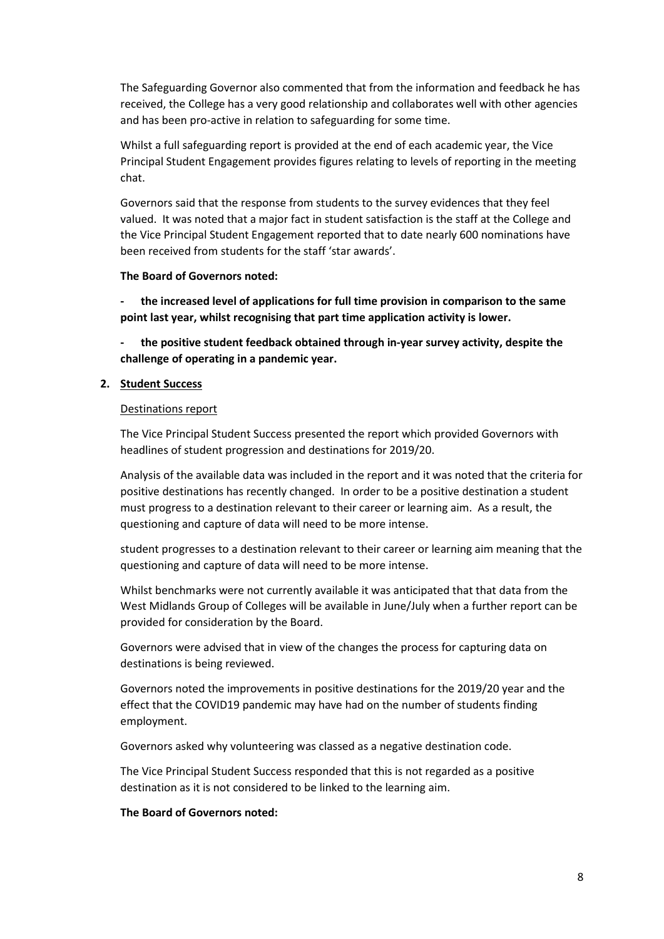The Safeguarding Governor also commented that from the information and feedback he has received, the College has a very good relationship and collaborates well with other agencies and has been pro-active in relation to safeguarding for some time.

Whilst a full safeguarding report is provided at the end of each academic year, the Vice Principal Student Engagement provides figures relating to levels of reporting in the meeting chat.

Governors said that the response from students to the survey evidences that they feel valued. It was noted that a major fact in student satisfaction is the staff at the College and the Vice Principal Student Engagement reported that to date nearly 600 nominations have been received from students for the staff 'star awards'.

### **The Board of Governors noted:**

**- the increased level of applications for full time provision in comparison to the same point last year, whilst recognising that part time application activity is lower.**

**- the positive student feedback obtained through in-year survey activity, despite the challenge of operating in a pandemic year.**

### **2. Student Success**

### Destinations report

The Vice Principal Student Success presented the report which provided Governors with headlines of student progression and destinations for 2019/20.

Analysis of the available data was included in the report and it was noted that the criteria for positive destinations has recently changed. In order to be a positive destination a student must progress to a destination relevant to their career or learning aim. As a result, the questioning and capture of data will need to be more intense.

student progresses to a destination relevant to their career or learning aim meaning that the questioning and capture of data will need to be more intense.

Whilst benchmarks were not currently available it was anticipated that that data from the West Midlands Group of Colleges will be available in June/July when a further report can be provided for consideration by the Board.

Governors were advised that in view of the changes the process for capturing data on destinations is being reviewed.

Governors noted the improvements in positive destinations for the 2019/20 year and the effect that the COVID19 pandemic may have had on the number of students finding employment.

Governors asked why volunteering was classed as a negative destination code.

The Vice Principal Student Success responded that this is not regarded as a positive destination as it is not considered to be linked to the learning aim.

### **The Board of Governors noted:**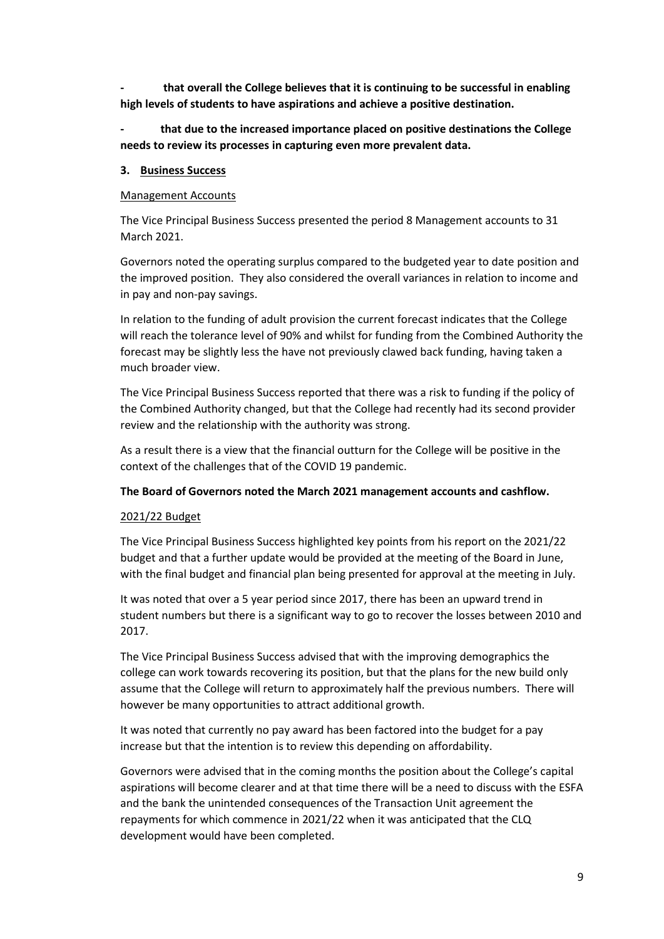**- that overall the College believes that it is continuing to be successful in enabling high levels of students to have aspirations and achieve a positive destination.**

**- that due to the increased importance placed on positive destinations the College needs to review its processes in capturing even more prevalent data.**

### **3. Business Success**

### Management Accounts

The Vice Principal Business Success presented the period 8 Management accounts to 31 March 2021.

Governors noted the operating surplus compared to the budgeted year to date position and the improved position. They also considered the overall variances in relation to income and in pay and non-pay savings.

In relation to the funding of adult provision the current forecast indicates that the College will reach the tolerance level of 90% and whilst for funding from the Combined Authority the forecast may be slightly less the have not previously clawed back funding, having taken a much broader view.

The Vice Principal Business Success reported that there was a risk to funding if the policy of the Combined Authority changed, but that the College had recently had its second provider review and the relationship with the authority was strong.

As a result there is a view that the financial outturn for the College will be positive in the context of the challenges that of the COVID 19 pandemic.

### **The Board of Governors noted the March 2021 management accounts and cashflow.**

### 2021/22 Budget

The Vice Principal Business Success highlighted key points from his report on the 2021/22 budget and that a further update would be provided at the meeting of the Board in June, with the final budget and financial plan being presented for approval at the meeting in July.

It was noted that over a 5 year period since 2017, there has been an upward trend in student numbers but there is a significant way to go to recover the losses between 2010 and 2017.

The Vice Principal Business Success advised that with the improving demographics the college can work towards recovering its position, but that the plans for the new build only assume that the College will return to approximately half the previous numbers. There will however be many opportunities to attract additional growth.

It was noted that currently no pay award has been factored into the budget for a pay increase but that the intention is to review this depending on affordability.

Governors were advised that in the coming months the position about the College's capital aspirations will become clearer and at that time there will be a need to discuss with the ESFA and the bank the unintended consequences of the Transaction Unit agreement the repayments for which commence in 2021/22 when it was anticipated that the CLQ development would have been completed.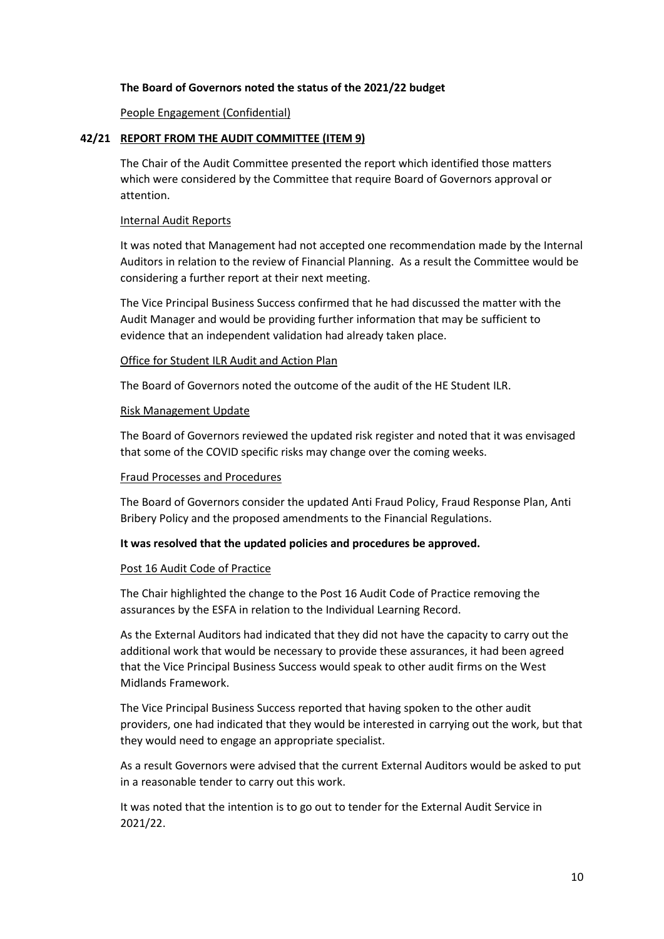### **The Board of Governors noted the status of the 2021/22 budget**

People Engagement (Confidential)

### **42/21 REPORT FROM THE AUDIT COMMITTEE (ITEM 9)**

The Chair of the Audit Committee presented the report which identified those matters which were considered by the Committee that require Board of Governors approval or attention.

### Internal Audit Reports

It was noted that Management had not accepted one recommendation made by the Internal Auditors in relation to the review of Financial Planning. As a result the Committee would be considering a further report at their next meeting.

The Vice Principal Business Success confirmed that he had discussed the matter with the Audit Manager and would be providing further information that may be sufficient to evidence that an independent validation had already taken place.

### Office for Student ILR Audit and Action Plan

The Board of Governors noted the outcome of the audit of the HE Student ILR.

### Risk Management Update

The Board of Governors reviewed the updated risk register and noted that it was envisaged that some of the COVID specific risks may change over the coming weeks.

### Fraud Processes and Procedures

The Board of Governors consider the updated Anti Fraud Policy, Fraud Response Plan, Anti Bribery Policy and the proposed amendments to the Financial Regulations.

### **It was resolved that the updated policies and procedures be approved.**

#### Post 16 Audit Code of Practice

The Chair highlighted the change to the Post 16 Audit Code of Practice removing the assurances by the ESFA in relation to the Individual Learning Record.

As the External Auditors had indicated that they did not have the capacity to carry out the additional work that would be necessary to provide these assurances, it had been agreed that the Vice Principal Business Success would speak to other audit firms on the West Midlands Framework.

The Vice Principal Business Success reported that having spoken to the other audit providers, one had indicated that they would be interested in carrying out the work, but that they would need to engage an appropriate specialist.

As a result Governors were advised that the current External Auditors would be asked to put in a reasonable tender to carry out this work.

It was noted that the intention is to go out to tender for the External Audit Service in 2021/22.